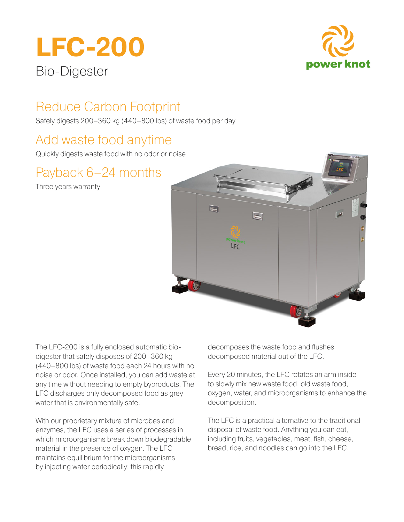# **LFC-200** Bio-Digester



# Reduce Carbon Footprint

Safely digests 200–360 kg (440–800 lbs) of waste food per day

### Add waste food anytime

Quickly digests waste food with no odor or noise

## Payback 6–24 months

Three years warranty



The LFC-200 is a fully enclosed automatic biodigester that safely disposes of 200–360 kg (440–800 lbs) of waste food each 24 hours with no noise or odor. Once installed, you can add waste at any time without needing to empty byproducts. The LFC discharges only decomposed food as grey water that is environmentally safe.

With our proprietary mixture of microbes and enzymes, the LFC uses a series of processes in which microorganisms break down biodegradable material in the presence of oxygen. The LFC maintains equilibrium for the microorganisms by injecting water periodically; this rapidly

decomposes the waste food and flushes decomposed material out of the LFC.

Every 20 minutes, the LFC rotates an arm inside to slowly mix new waste food, old waste food, oxygen, water, and microorganisms to enhance the decomposition.

The LFC is a practical alternative to the traditional disposal of waste food. Anything you can eat, including fruits, vegetables, meat, fish, cheese, bread, rice, and noodles can go into the LFC.